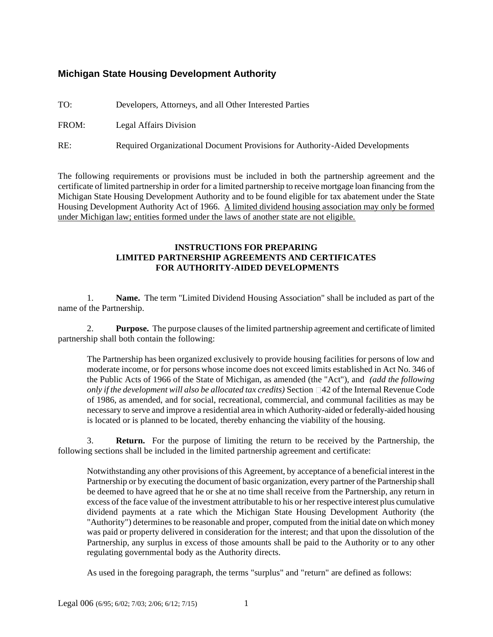## **Michigan State Housing Development Authority**

TO: Developers, Attorneys, and all Other Interested Parties

FROM: Legal Affairs Division

RE: Required Organizational Document Provisions for Authority-Aided Developments

The following requirements or provisions must be included in both the partnership agreement and the certificate of limited partnership in order for a limited partnership to receive mortgage loan financing from the Michigan State Housing Development Authority and to be found eligible for tax abatement under the State Housing Development Authority Act of 1966. A limited dividend housing association may only be formed under Michigan law; entities formed under the laws of another state are not eligible.

## **INSTRUCTIONS FOR PREPARING LIMITED PARTNERSHIP AGREEMENTS AND CERTIFICATES FOR AUTHORITY-AIDED DEVELOPMENTS**

1. **Name.** The term "Limited Dividend Housing Association" shall be included as part of the name of the Partnership.

2. **Purpose.** The purpose clauses of the limited partnership agreement and certificate of limited partnership shall both contain the following:

The Partnership has been organized exclusively to provide housing facilities for persons of low and moderate income, or for persons whose income does not exceed limits established in Act No. 346 of the Public Acts of 1966 of the State of Michigan, as amended (the "Act"), and *(add the following only if the development will also be allocated tax credits)* Section 42 of the Internal Revenue Code of 1986, as amended, and for social, recreational, commercial, and communal facilities as may be necessary to serve and improve a residential area in which Authority-aided or federally-aided housing is located or is planned to be located, thereby enhancing the viability of the housing.

3. **Return.** For the purpose of limiting the return to be received by the Partnership, the following sections shall be included in the limited partnership agreement and certificate:

Notwithstanding any other provisions of this Agreement, by acceptance of a beneficial interest in the Partnership or by executing the document of basic organization, every partner of the Partnership shall be deemed to have agreed that he or she at no time shall receive from the Partnership, any return in excess of the face value of the investment attributable to his or her respective interest plus cumulative dividend payments at a rate which the Michigan State Housing Development Authority (the "Authority") determines to be reasonable and proper, computed from the initial date on which money was paid or property delivered in consideration for the interest; and that upon the dissolution of the Partnership, any surplus in excess of those amounts shall be paid to the Authority or to any other regulating governmental body as the Authority directs.

As used in the foregoing paragraph, the terms "surplus" and "return" are defined as follows: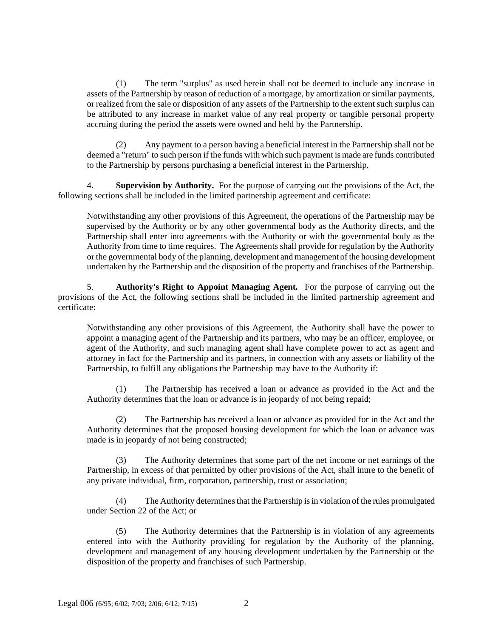(1) The term "surplus" as used herein shall not be deemed to include any increase in assets of the Partnership by reason of reduction of a mortgage, by amortization or similar payments, or realized from the sale or disposition of any assets of the Partnership to the extent such surplus can be attributed to any increase in market value of any real property or tangible personal property accruing during the period the assets were owned and held by the Partnership.

(2) Any payment to a person having a beneficial interest in the Partnership shall not be deemed a "return" to such person if the funds with which such payment is made are funds contributed to the Partnership by persons purchasing a beneficial interest in the Partnership.

4. **Supervision by Authority.** For the purpose of carrying out the provisions of the Act, the following sections shall be included in the limited partnership agreement and certificate:

Notwithstanding any other provisions of this Agreement, the operations of the Partnership may be supervised by the Authority or by any other governmental body as the Authority directs, and the Partnership shall enter into agreements with the Authority or with the governmental body as the Authority from time to time requires. The Agreements shall provide for regulation by the Authority or the governmental body of the planning, development and management of the housing development undertaken by the Partnership and the disposition of the property and franchises of the Partnership.

5. **Authority's Right to Appoint Managing Agent.** For the purpose of carrying out the provisions of the Act, the following sections shall be included in the limited partnership agreement and certificate:

Notwithstanding any other provisions of this Agreement, the Authority shall have the power to appoint a managing agent of the Partnership and its partners, who may be an officer, employee, or agent of the Authority, and such managing agent shall have complete power to act as agent and attorney in fact for the Partnership and its partners, in connection with any assets or liability of the Partnership, to fulfill any obligations the Partnership may have to the Authority if:

(1) The Partnership has received a loan or advance as provided in the Act and the Authority determines that the loan or advance is in jeopardy of not being repaid;

(2) The Partnership has received a loan or advance as provided for in the Act and the Authority determines that the proposed housing development for which the loan or advance was made is in jeopardy of not being constructed;

(3) The Authority determines that some part of the net income or net earnings of the Partnership, in excess of that permitted by other provisions of the Act, shall inure to the benefit of any private individual, firm, corporation, partnership, trust or association;

(4) The Authority determines that the Partnership is in violation of the rules promulgated under Section 22 of the Act; or

(5) The Authority determines that the Partnership is in violation of any agreements entered into with the Authority providing for regulation by the Authority of the planning, development and management of any housing development undertaken by the Partnership or the disposition of the property and franchises of such Partnership.